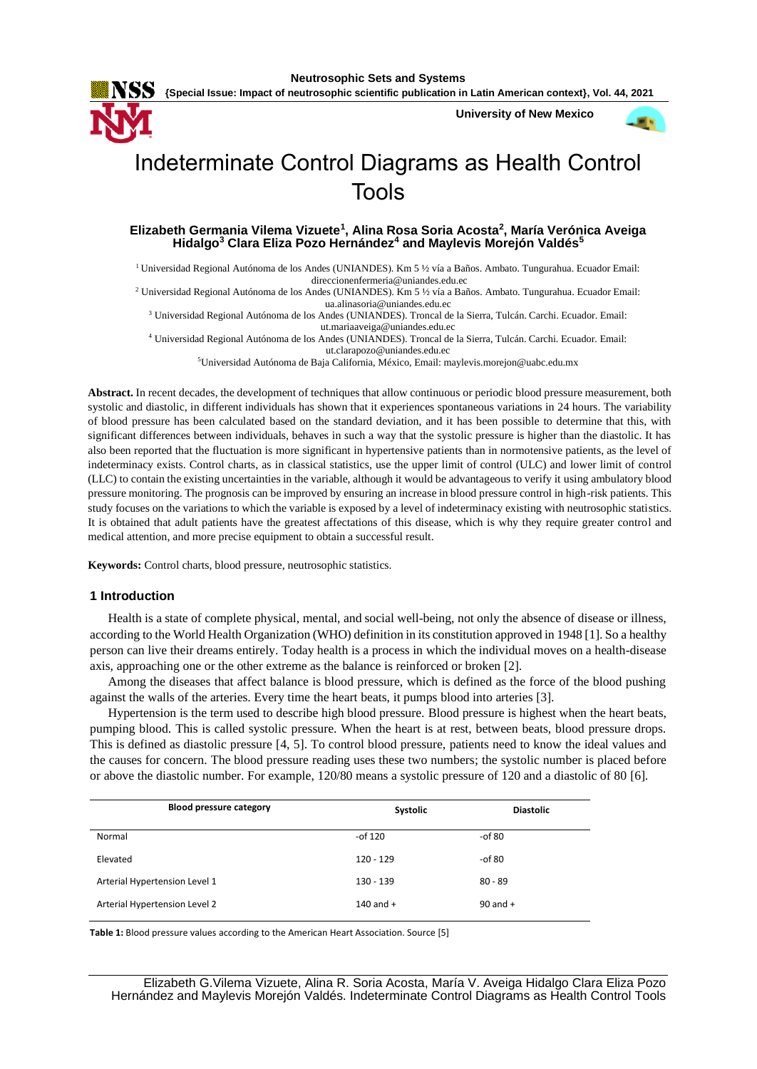

**{Special Issue: Impact of neutrosophic scientific publication in Latin American context}, Vol. 44, 2021**

**University of New Mexico**



# Indeterminate Control Diagrams as Health Control Tools

## **Elizabeth Germania Vilema Vizuete<sup>1</sup> , Alina Rosa Soria Acosta<sup>2</sup> , María Verónica Aveiga Hidalgo<sup>3</sup> Clara Eliza Pozo Hernández<sup>4</sup> and Maylevis Morejón Valdés<sup>5</sup>**

<sup>1</sup> Universidad Regional Autónoma de los Andes (UNIANDES). Km 5 ½ vía a Baños. Ambato. Tungurahua. Ecuador Email: [direccionenfermeria@uniandes.edu.ec](mailto:direccionenfermeria@uniandes.edu.ec)

<sup>2</sup> Universidad Regional Autónoma de los Andes (UNIANDES). Km 5 ½ vía a Baños. Ambato. Tungurahua. Ecuador Email: [ua.alinasoria@uniandes.edu.ec](mailto:ua.alinasoria@uniandes.edu.ec)

<sup>3</sup> Universidad Regional Autónoma de los Andes (UNIANDES). Troncal de la Sierra, Tulcán. Carchi. Ecuador. Email: [ut.mariaaveiga@uniandes.edu.ec](mailto:ut.mariaaveiga@uniandes.edu.ec)

<sup>4</sup> Universidad Regional Autónoma de los Andes (UNIANDES). Troncal de la Sierra, Tulcán. Carchi. Ecuador. Email:

[ut.clarapozo@uniandes.edu.ec](mailto:ut.clarapozo@uniandes.edu.ec)

<sup>5</sup>Universidad Autónoma de Baja California, México, Email: maylevis.morejon@uabc.edu.mx

**Abstract.** In recent decades, the development of techniques that allow continuous or periodic blood pressure measurement, both systolic and diastolic, in different individuals has shown that it experiences spontaneous variations in 24 hours. The variability of blood pressure has been calculated based on the standard deviation, and it has been possible to determine that this, with significant differences between individuals, behaves in such a way that the systolic pressure is higher than the diastolic. It has also been reported that the fluctuation is more significant in hypertensive patients than in normotensive patients, as the level of indeterminacy exists. Control charts, as in classical statistics, use the upper limit of control (ULC) and lower limit of control (LLC) to contain the existing uncertainties in the variable, although it would be advantageous to verify it using ambulatory blood pressure monitoring. The prognosis can be improved by ensuring an increase in blood pressure control in high-risk patients. This study focuses on the variations to which the variable is exposed by a level of indeterminacy existing with neutrosophic statistics. It is obtained that adult patients have the greatest affectations of this disease, which is why they require greater control and medical attention, and more precise equipment to obtain a successful result.

**Keywords:** Control charts, blood pressure, neutrosophic statistics.

#### **1 Introduction**

Health is a state of complete physical, mental, and social well-being, not only the absence of disease or illness, according to the World Health Organization (WHO) definition in its constitution approved in 1948 [\[1\]](#page-7-0). So a healthy person can live their dreams entirely. Today health is a process in which the individual moves on a health-disease axis, approaching one or the other extreme as the balance is reinforced or broken [\[2\]](#page-7-1).

Among the diseases that affect balance is blood pressure, which is defined as the force of the blood pushing against the walls of the arteries. Every time the heart beats, it pumps blood into arteries [\[3\]](#page-7-2).

Hypertension is the term used to describe high blood pressure. Blood pressure is highest when the heart beats, pumping blood. This is called systolic pressure. When the heart is at rest, between beats, blood pressure drops. This is defined as diastolic pressure [\[4,](#page-7-3) [5\]](#page-7-4). To control blood pressure, patients need to know the ideal values and the causes for concern. The blood pressure reading uses these two numbers; the systolic number is placed before or above the diastolic number. For example, 120/80 means a systolic pressure of 120 and a diastolic of 80 [\[6\]](#page-7-5).

| <b>Blood pressure category</b> | Systolic    | <b>Diastolic</b> |
|--------------------------------|-------------|------------------|
| Normal                         | -of $120$   | -of $80$         |
| Elevated                       | 120 - 129   | -of $80$         |
| Arterial Hypertension Level 1  | 130 - 139   | $80 - 89$        |
| Arterial Hypertension Level 2  | 140 and $+$ | $90$ and $+$     |

**Table 1:** Blood pressure values according to the American Heart Association. Source [\[5\]](#page-7-4)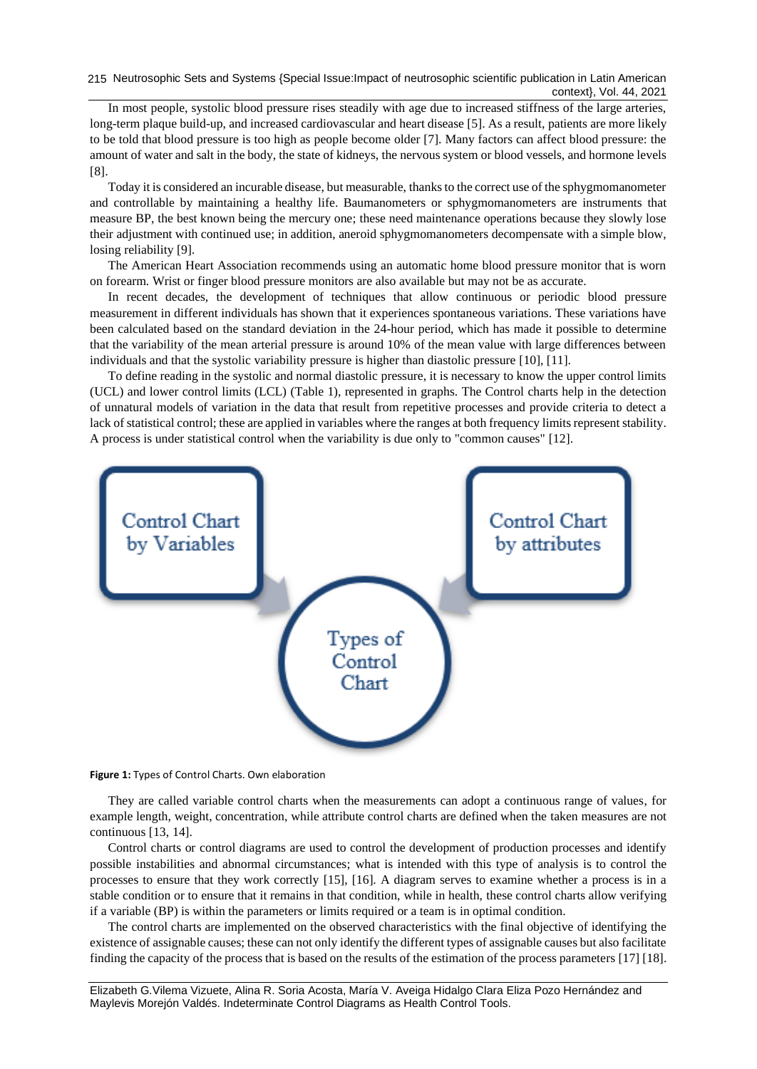215 Neutrosophic Sets and Systems {Special Issue:Impact of neutrosophic scientific publication in Latin American context}, Vol. 44, 2021

In most people, systolic blood pressure rises steadily with age due to increased stiffness of the large arteries, long-term plaque build-up, and increased cardiovascular and heart disease [\[5\]](#page-7-4). As a result, patients are more likely to be told that blood pressure is too high as people become older [\[7\]](#page-7-6). Many factors can affect blood pressure: the amount of water and salt in the body, the state of kidneys, the nervous system or blood vessels, and hormone levels [\[8\]](#page-7-7).

Today it is considered an incurable disease, but measurable, thanks to the correct use of the sphygmomanometer and controllable by maintaining a healthy life. Baumanometers or sphygmomanometers are instruments that measure BP, the best known being the mercury one; these need maintenance operations because they slowly lose their adjustment with continued use; in addition, aneroid sphygmomanometers decompensate with a simple blow, losing reliability [\[9\]](#page-7-8).

The American Heart Association recommends using an automatic home blood pressure monitor that is worn on forearm. Wrist or finger blood pressure monitors are also available but may not be as accurate.

In recent decades, the development of techniques that allow continuous or periodic blood pressure measurement in different individuals has shown that it experiences spontaneous variations. These variations have been calculated based on the standard deviation in the 24-hour period, which has made it possible to determine that the variability of the mean arterial pressure is around 10% of the mean value with large differences between individuals and that the systolic variability pressure is higher than diastolic pressure [\[10\]](#page-7-9), [\[11\]](#page-7-10).

To define reading in the systolic and normal diastolic pressure, it is necessary to know the upper control limits (UCL) and lower control limits (LCL) (Table 1), represented in graphs. The Control charts help in the detection of unnatural models of variation in the data that result from repetitive processes and provide criteria to detect a lack of statistical control; these are applied in variables where the ranges at both frequency limits represent stability. A process is under statistical control when the variability is due only to "common causes" [\[12\]](#page-7-11).



**Figure 1:** Types of Control Charts. Own elaboration

They are called variable control charts when the measurements can adopt a continuous range of values, for example length, weight, concentration, while attribute control charts are defined when the taken measures are not continuous [\[13,](#page-7-12) [14\]](#page-8-0).

Control charts or control diagrams are used to control the development of production processes and identify possible instabilities and abnormal circumstances; what is intended with this type of analysis is to control the processes to ensure that they work correctly [\[15\]](#page-8-1), [\[16\]](#page-8-2). A diagram serves to examine whether a process is in a stable condition or to ensure that it remains in that condition, while in health, these control charts allow verifying if a variable (BP) is within the parameters or limits required or a team is in optimal condition.

The control charts are implemented on the observed characteristics with the final objective of identifying the existence of assignable causes; these can not only identify the different types of assignable causes but also facilitate finding the capacity of the process that is based on the results of the estimation of the process parameters [\[17\]](#page-8-3) [\[18\]](#page-8-4).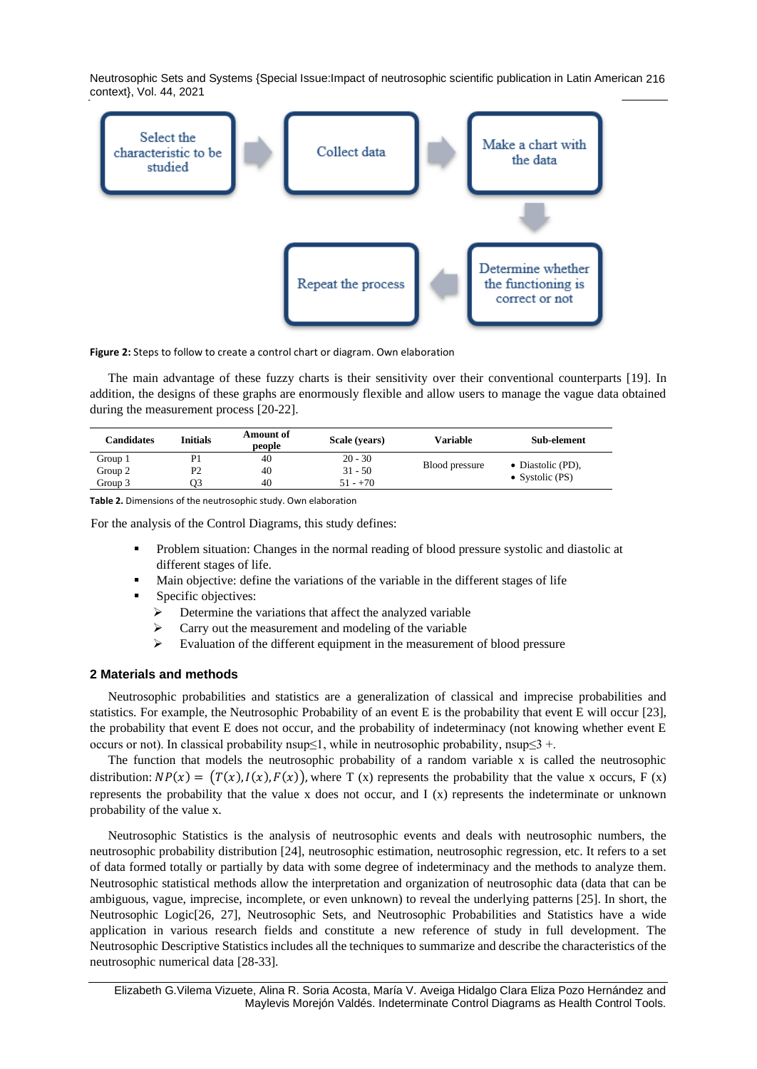Neutrosophic Sets and Systems {Special Issue:Impact of neutrosophic scientific publication in Latin American 216 context}, Vol. 44, 2021



**Figure 2:** Steps to follow to create a control chart or diagram. Own elaboration

The main advantage of these fuzzy charts is their sensitivity over their conventional counterparts [\[19\]](#page-8-5). In addition, the designs of these graphs are enormously flexible and allow users to manage the vague data obtained during the measurement process [\[20-22\]](#page-8-6).

| Candidates | Initials | <b>Amount of</b><br>people | Scale (vears) | <b>Variable</b> | Sub-element       |
|------------|----------|----------------------------|---------------|-----------------|-------------------|
| Group 1    |          | 40                         | $20 - 30$     |                 |                   |
| Group 2    | P2       | 40                         | $31 - 50$     | Blood pressure  | • Diastolic (PD), |
| Group 3    |          | 40                         | $51 - +70$    |                 | • Systolic $(PS)$ |

**Table 2.** Dimensions of the neutrosophic study. Own elaboration

For the analysis of the Control Diagrams, this study defines:

- Problem situation: Changes in the normal reading of blood pressure systolic and diastolic at different stages of life.
- Main objective: define the variations of the variable in the different stages of life
- Specific objectives:
	- ➢ Determine the variations that affect the analyzed variable
	- ➢ Carry out the measurement and modeling of the variable
	- ➢ Evaluation of the different equipment in the measurement of blood pressure

#### **2 Materials and methods**

Neutrosophic probabilities and statistics are a generalization of classical and imprecise probabilities and statistics. For example, the Neutrosophic Probability of an event E is the probability that event E will occur [\[23\]](#page-8-7), the probability that event E does not occur, and the probability of indeterminacy (not knowing whether event E occurs or not). In classical probability nsup≤1, while in neutrosophic probability, nsup≤3 +.

The function that models the neutrosophic probability of a random variable x is called the neutrosophic distribution:  $NP(x) = (T(x), I(x), F(x))$ , where T (x) represents the probability that the value x occurs, F (x) represents the probability that the value x does not occur, and I (x) represents the indeterminate or unknown probability of the value x.

Neutrosophic Statistics is the analysis of neutrosophic events and deals with neutrosophic numbers, the neutrosophic probability distribution [\[24\]](#page-8-8), neutrosophic estimation, neutrosophic regression, etc. It refers to a set of data formed totally or partially by data with some degree of indeterminacy and the methods to analyze them. Neutrosophic statistical methods allow the interpretation and organization of neutrosophic data (data that can be ambiguous, vague, imprecise, incomplete, or even unknown) to reveal the underlying patterns [\[25\]](#page-8-9). In short, the Neutrosophic Logic[\[26,](#page-8-10) [27\]](#page-8-11), Neutrosophic Sets, and Neutrosophic Probabilities and Statistics have a wide application in various research fields and constitute a new reference of study in full development. The Neutrosophic Descriptive Statistics includes all the techniques to summarize and describe the characteristics of the neutrosophic numerical data [\[28-33\]](#page-8-12).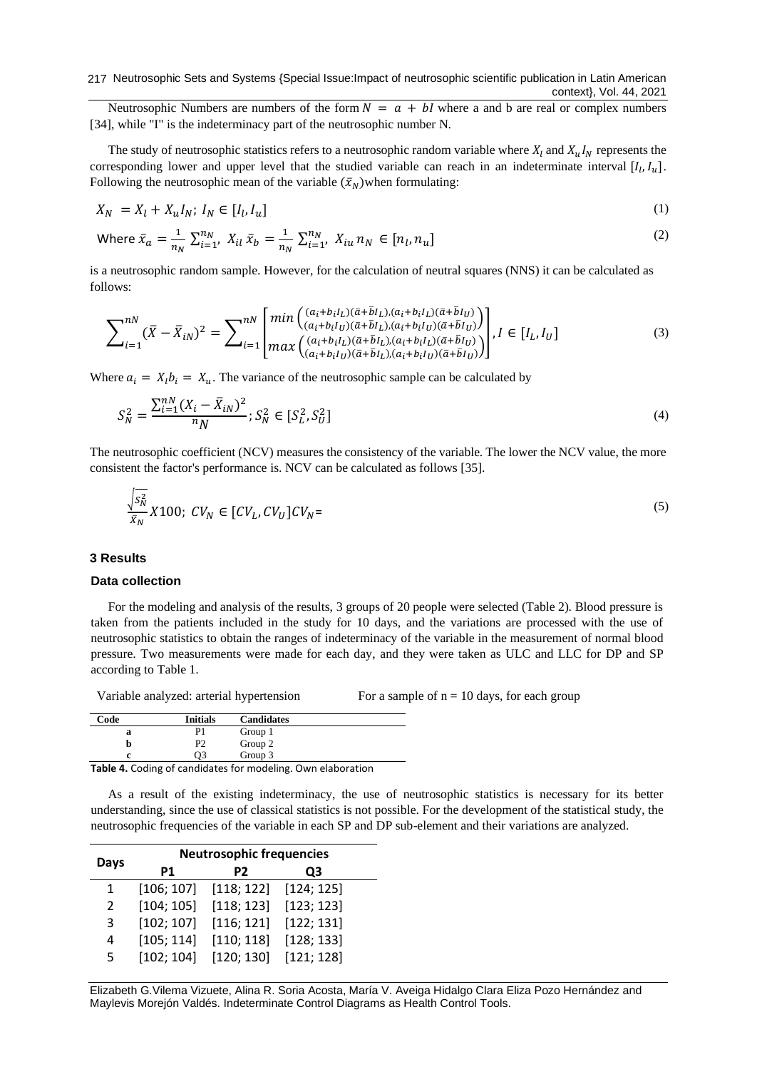Neutrosophic Numbers are numbers of the form  $N = a + bl$  where a and b are real or complex numbers [\[34\]](#page-8-13), while "I" is the indeterminacy part of the neutrosophic number N.

The study of neutrosophic statistics refers to a neutrosophic random variable where  $X_l$  and  $X_u I_N$  represents the corresponding lower and upper level that the studied variable can reach in an indeterminate interval  $[I_l, I_u]$ . Following the neutrosophic mean of the variable  $(\bar{x}_N)$  when formulating:

$$
X_N = X_l + X_u I_N; I_N \in [I_l, I_u]
$$
\n<sup>(1)</sup>

Where 
$$
\bar{x}_a = \frac{1}{n_N} \sum_{i=1}^{n_N} X_{il} \bar{x}_b = \frac{1}{n_N} \sum_{i=1}^{n_N} X_{iu} n_N \in [n_l, n_u]
$$
 (2)

is a neutrosophic random sample. However, for the calculation of neutral squares (NNS) it can be calculated as follows:

$$
\sum_{i=1}^{nN} (\bar{X} - \bar{X}_{iN})^2 = \sum_{i=1}^{nN} \begin{bmatrix} \min\left( \frac{(a_i + b_i I_L)(\bar{a} + \bar{b} I_L)(a_i + b_i I_L)(\bar{a} + \bar{b} I_U)}{(a_i + b_i I_U)(\bar{a} + \bar{b} I_L)(a_i + b_i I_U)(\bar{a} + \bar{b} I_U)} \right) \\ \max\left( \frac{(a_i + b_i I_L)(\bar{a} + \bar{b} I_L)(a_i + b_i I_L)(\bar{a} + \bar{b} I_U)}{(a_i + b_i I_U)(\bar{a} + \bar{b} I_L)(a_i + b_i I_U)(\bar{a} + \bar{b} I_U)} \right) \end{bmatrix}, I \in [I_L, I_U]
$$
\n(3)

Where  $a_i = X_i b_i = X_u$ . The variance of the neutrosophic sample can be calculated by

$$
S_N^2 = \frac{\sum_{i=1}^{nN} (X_i - \bar{X}_{iN})^2}{n} ; S_N^2 \in [S_L^2, S_U^2]
$$
\n<sup>(4)</sup>

The neutrosophic coefficient (NCV) measures the consistency of the variable. The lower the NCV value, the more consistent the factor's performance is. NCV can be calculated as follows [\[35\]](#page-8-14).

$$
\frac{\sqrt{s_N^2}}{\bar{x}_N} X100; CV_N \in [CV_L, CV_U]CV_N =
$$
\n
$$
(5)
$$

#### **3 Results**

## **Data collection**

For the modeling and analysis of the results, 3 groups of 20 people were selected (Table 2). Blood pressure is taken from the patients included in the study for 10 days, and the variations are processed with the use of neutrosophic statistics to obtain the ranges of indeterminacy of the variable in the measurement of normal blood pressure. Two measurements were made for each day, and they were taken as ULC and LLC for DP and SP according to Table 1.

Variable analyzed: arterial hypertension For a sample of  $n = 10$  days, for each group

| Code | <b>Initials</b> | <b>Candidates</b> |  |
|------|-----------------|-------------------|--|
| a    | P1              | Group 1           |  |
|      | P <sub>2</sub>  | Group 2           |  |
|      | D3              | Group 3           |  |

**Table 4.** Coding of candidates for modeling. Own elaboration

As a result of the existing indeterminacy, the use of neutrosophic statistics is necessary for its better understanding, since the use of classical statistics is not possible. For the development of the statistical study, the neutrosophic frequencies of the variable in each SP and DP sub-element and their variations are analyzed.

| <b>Neutrosophic frequencies</b> |                |            |  |
|---------------------------------|----------------|------------|--|
| Ρ1                              | P <sub>2</sub> | Q3         |  |
| [106; 107]                      | [118; 122]     | [124; 125] |  |
| [104; 105]                      | [118; 123]     | [123; 123] |  |
| [102; 107]                      | [116; 121]     | [122; 131] |  |
| [105; 114]                      | [110; 118]     | [128; 133] |  |
| [102; 104]                      | [120; 130]     | [121; 128] |  |
|                                 |                |            |  |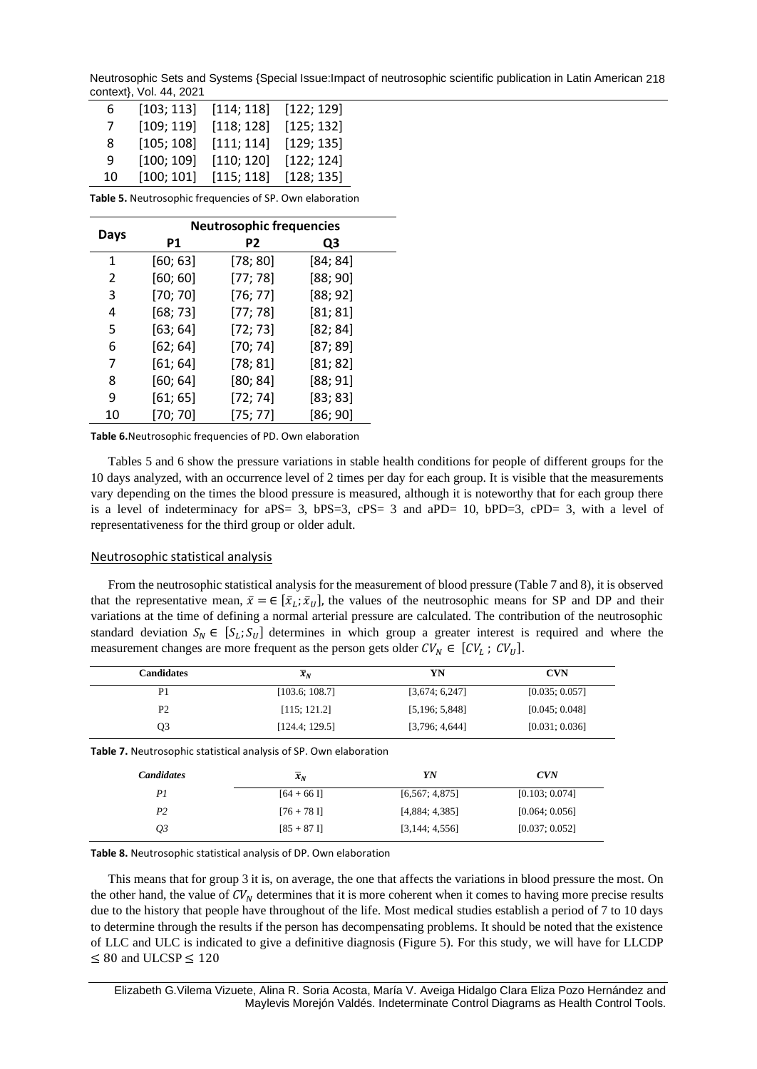Neutrosophic Sets and Systems {Special Issue:Impact of neutrosophic scientific publication in Latin American 218 context}, Vol. 44, 2021

| 6  | [103; 113] | [114; 118] | [122; 129] |
|----|------------|------------|------------|
| 7  | [109; 119] | [118; 128] | [125; 132] |
| 8  | [105; 108] | [111; 114] | [129; 135] |
| 9  | [100; 109] | [110; 120] | [122; 124] |
| 10 | [100; 101] | [115; 118] | [128; 135] |

**Table 5.** Neutrosophic frequencies of SP. Own elaboration

|      | <b>Neutrosophic frequencies</b> |          |          |  |
|------|---------------------------------|----------|----------|--|
| Days | <b>P1</b>                       | P2       | Q3       |  |
| 1    | [60; 63]                        | [78; 80] | [84; 84] |  |
| 2    | [60; 60]                        | [77; 78] | [88; 90] |  |
| 3    | [70; 70]                        | [76; 77] | [88; 92] |  |
| 4    | [68; 73]                        | [77; 78] | [81; 81] |  |
| 5    | [63; 64]                        | [72; 73] | [82; 84] |  |
| 6    | [62; 64]                        | [70; 74] | [87; 89] |  |
| 7    | [61; 64]                        | [78; 81] | [81; 82] |  |
| 8    | [60; 64]                        | [80; 84] | [88; 91] |  |
| 9    | [61; 65]                        | [72; 74] | [83; 83] |  |
| 10   | [70; 70]                        | [75; 77] | [86; 90] |  |

**Table 6.**Neutrosophic frequencies of PD. Own elaboration

Tables 5 and 6 show the pressure variations in stable health conditions for people of different groups for the 10 days analyzed, with an occurrence level of 2 times per day for each group. It is visible that the measurements vary depending on the times the blood pressure is measured, although it is noteworthy that for each group there is a level of indeterminacy for aPS= 3, bPS=3, cPS= 3 and aPD= 10, bPD=3, cPD= 3, with a level of representativeness for the third group or older adult.

## Neutrosophic statistical analysis

From the neutrosophic statistical analysis for the measurement of blood pressure (Table 7 and 8), it is observed that the representative mean,  $\bar{x} = \in [\bar{x}_L; \bar{x}_U]$ , the values of the neutrosophic means for SP and DP and their variations at the time of defining a normal arterial pressure are calculated. The contribution of the neutrosophic standard deviation  $S_N \in [S_L; S_U]$  determines in which group a greater interest is required and where the measurement changes are more frequent as the person gets older  $CV_N \in [CV_L; CV_U]$ .

| Candidates     | $\overline{x}_N$ | YN             | <b>CVN</b>     |
|----------------|------------------|----------------|----------------|
| P <sub>1</sub> | [103.6; 108.7]   | [3,674; 6,247] | [0.035; 0.057] |
| <b>P2</b>      | [115; 121.2]     | [5,196; 5,848] | [0.045; 0.048] |
| Q3             | [124.4; 129.5]   | [3,796; 4,644] | [0.031; 0.036] |

**Table 7.** Neutrosophic statistical analysis of SP. Own elaboration

| <b>Candidates</b> | $\overline{x}_N$ | YN               | CVN            |
|-------------------|------------------|------------------|----------------|
| P1                | $[64 + 66]$      | [6, 567; 4, 875] | [0.103; 0.074] |
| P2                | $[76 + 78]$      | [4,884; 4,385]   | [0.064; 0.056] |
| О3                | $[85 + 87]$      | [3,144; 4,556]   | [0.037; 0.052] |

**Table 8.** Neutrosophic statistical analysis of DP. Own elaboration

This means that for group 3 it is, on average, the one that affects the variations in blood pressure the most. On the other hand, the value of  $CV_N$  determines that it is more coherent when it comes to having more precise results due to the history that people have throughout of the life. Most medical studies establish a period of 7 to 10 days to determine through the results if the person has decompensating problems. It should be noted that the existence of LLC and ULC is indicated to give a definitive diagnosis (Figure 5). For this study, we will have for LLCDP ≤ 80 and ULCSP  $≤ 120$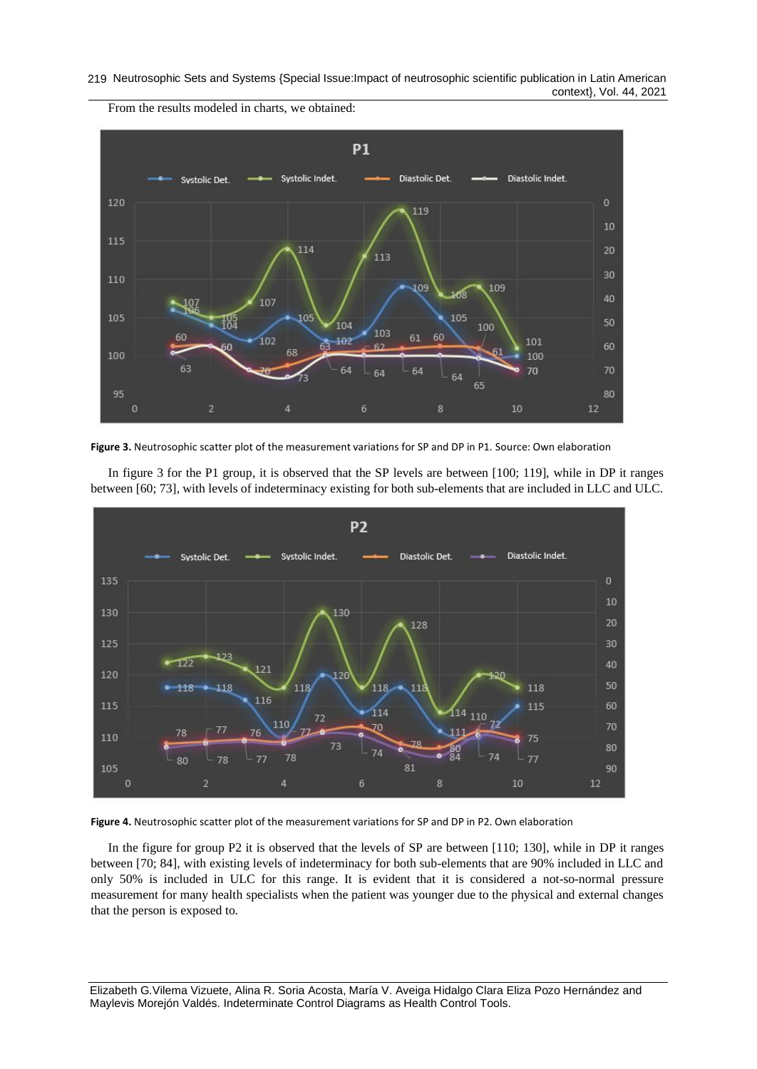#### 219 Neutrosophic Sets and Systems {Special Issue:Impact of neutrosophic scientific publication in Latin American context}, Vol. 44, 2021



From the results modeled in charts, we obtained:



In figure 3 for the P1 group, it is observed that the SP levels are between [100; 119], while in DP it ranges between [60; 73], with levels of indeterminacy existing for both sub-elements that are included in LLC and ULC.



**Figure 4.** Neutrosophic scatter plot of the measurement variations for SP and DP in P2. Own elaboration

In the figure for group P2 it is observed that the levels of SP are between [110; 130], while in DP it ranges between [70; 84], with existing levels of indeterminacy for both sub-elements that are 90% included in LLC and only 50% is included in ULC for this range. It is evident that it is considered a not-so-normal pressure measurement for many health specialists when the patient was younger due to the physical and external changes that the person is exposed to.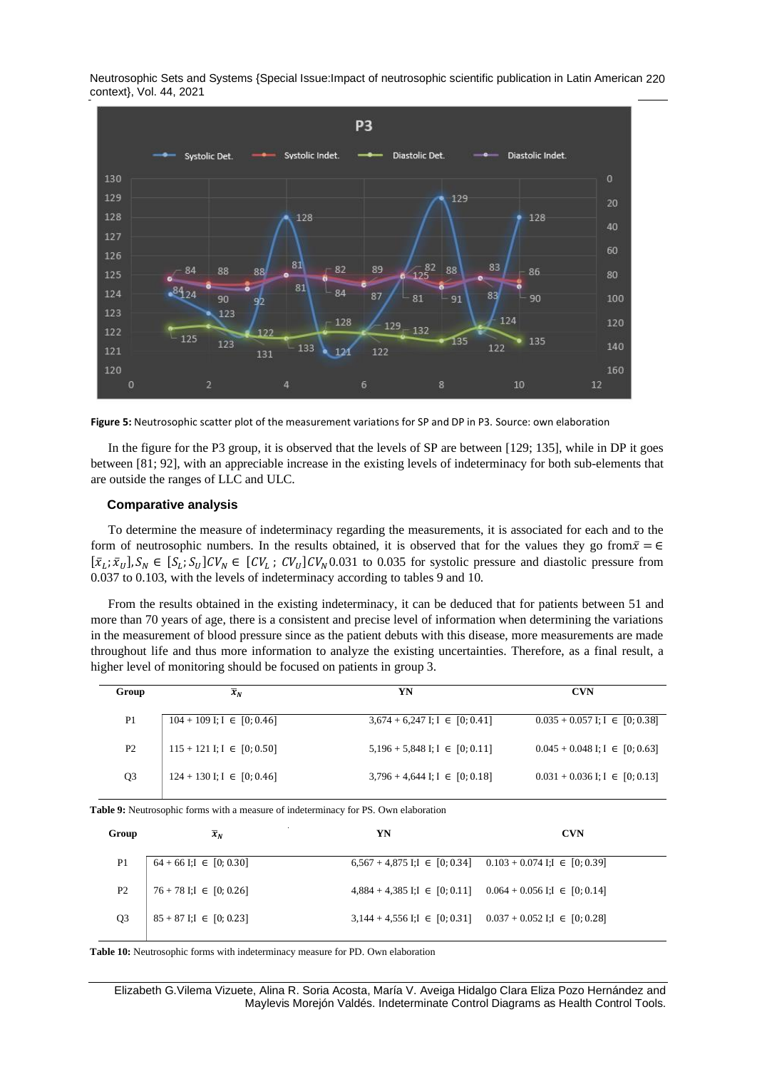Neutrosophic Sets and Systems {Special Issue:Impact of neutrosophic scientific publication in Latin American 220 context}, Vol. 44, 2021



**Figure 5:** Neutrosophic scatter plot of the measurement variations for SP and DP in P3. Source: own elaboration

In the figure for the P3 group, it is observed that the levels of SP are between [129; 135], while in DP it goes between [81; 92], with an appreciable increase in the existing levels of indeterminacy for both sub-elements that are outside the ranges of LLC and ULC.

#### **Comparative analysis**

To determine the measure of indeterminacy regarding the measurements, it is associated for each and to the form of neutrosophic numbers. In the results obtained, it is observed that for the values they go from  $\bar{x} = \epsilon$  $[\bar{x}_L; \bar{x}_U], S_N \in [S_L; S_U]$ CV<sub>N</sub>  $\in [CV_L; CV_U]$ CV<sub>N</sub>0.031 to 0.035 for systolic pressure and diastolic pressure from 0.037 to 0.103, with the levels of indeterminacy according to tables 9 and 10.

From the results obtained in the existing indeterminacy, it can be deduced that for patients between 51 and more than 70 years of age, there is a consistent and precise level of information when determining the variations in the measurement of blood pressure since as the patient debuts with this disease, more measurements are made throughout life and thus more information to analyze the existing uncertainties. Therefore, as a final result, a higher level of monitoring should be focused on patients in group 3.

| Group          | $x_N$                            | YN                                   | <b>CVN</b>                           |
|----------------|----------------------------------|--------------------------------------|--------------------------------------|
|                |                                  |                                      |                                      |
| P1             | $104 + 109$ I; I $\in [0, 0.46]$ | $3,674 + 6,247$ I; I $\in [0, 0.41]$ | $0.035 + 0.057$ I; I $\in$ [0; 0.38] |
|                |                                  |                                      |                                      |
| P <sub>2</sub> | $115 + 121$ I; I $\in [0, 0.50]$ | $5,196 + 5,848$ I; I $\in [0, 0.11]$ | $0.045 + 0.048$ I; I $\in [0, 0.63]$ |
|                |                                  |                                      |                                      |
| Q3             | $124 + 130$ I; I $\in [0, 0.46]$ | $3,796 + 4,644$ I; I $\in$ [0; 0.18] | $0.031 + 0.036$ I; I $\in$ [0; 0.13] |
|                |                                  |                                      |                                      |

**Table 9:** Neutrosophic forms with a measure of indeterminacy for PS. Own elaboration

| Group          | $\overline{x}_N$              | YN                                                                      | <b>CVN</b> |
|----------------|-------------------------------|-------------------------------------------------------------------------|------------|
| P <sub>1</sub> | $64 + 66$ I;I $\in [0, 0.30]$ | $6,567 + 4,875$ I;I $\in [0, 0.34]$ $0.103 + 0.074$ I;I $\in [0, 0.39]$ |            |
| P <sub>2</sub> | $76 + 78$ I;I $\in [0, 0.26]$ | $4,884 + 4,385$ I;I $\in$ [0; 0.11] 0.064 + 0.056 I;I $\in$ [0; 0.14]   |            |
| Q <sub>3</sub> | $85 + 87$ I:I $\in [0, 0.23]$ | 3,144 + 4,556 I; $I \in [0; 0.31]$ 0.037 + 0.052 I; $I \in [0; 0.28]$   |            |
|                |                               |                                                                         |            |

**Table 10:** Neutrosophic forms with indeterminacy measure for PD. Own elaboration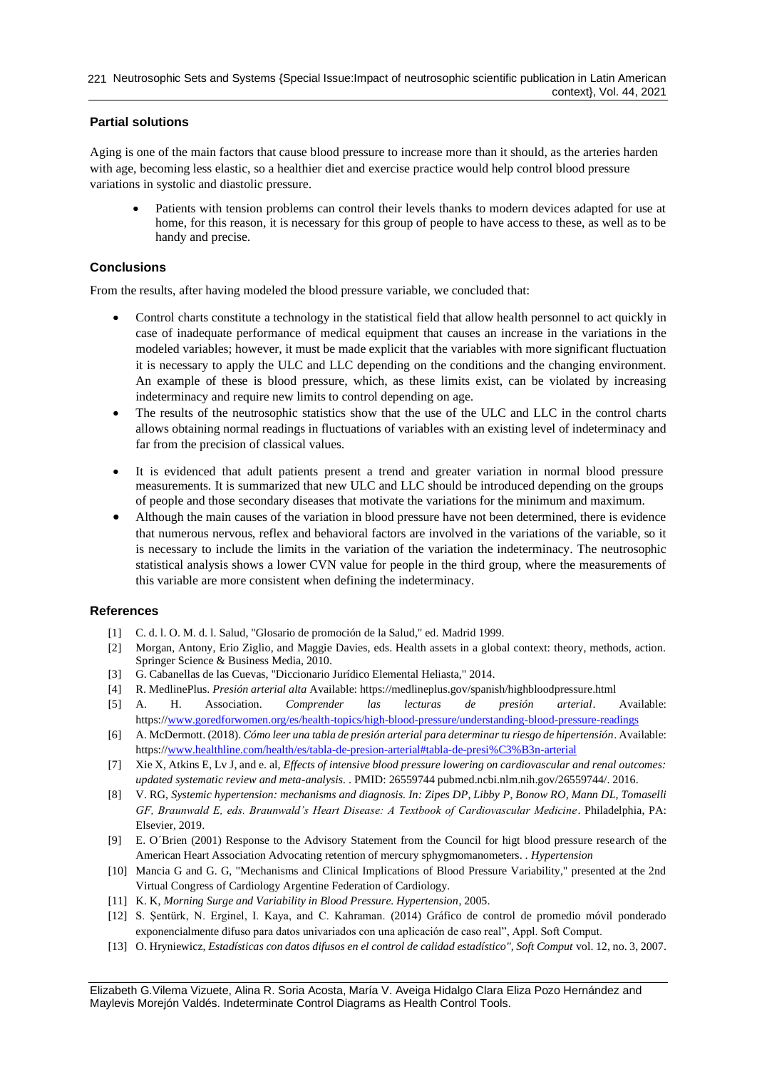# **Partial solutions**

Aging is one of the main factors that cause blood pressure to increase more than it should, as the arteries harden with age, becoming less elastic, so a healthier diet and exercise practice would help control blood pressure variations in systolic and diastolic pressure.

• Patients with tension problems can control their levels thanks to modern devices adapted for use at home, for this reason, it is necessary for this group of people to have access to these, as well as to be handy and precise.

# **Conclusions**

From the results, after having modeled the blood pressure variable, we concluded that:

- Control charts constitute a technology in the statistical field that allow health personnel to act quickly in case of inadequate performance of medical equipment that causes an increase in the variations in the modeled variables; however, it must be made explicit that the variables with more significant fluctuation it is necessary to apply the ULC and LLC depending on the conditions and the changing environment. An example of these is blood pressure, which, as these limits exist, can be violated by increasing indeterminacy and require new limits to control depending on age.
- The results of the neutrosophic statistics show that the use of the ULC and LLC in the control charts allows obtaining normal readings in fluctuations of variables with an existing level of indeterminacy and far from the precision of classical values.
- It is evidenced that adult patients present a trend and greater variation in normal blood pressure measurements. It is summarized that new ULC and LLC should be introduced depending on the groups of people and those secondary diseases that motivate the variations for the minimum and maximum.
- Although the main causes of the variation in blood pressure have not been determined, there is evidence that numerous nervous, reflex and behavioral factors are involved in the variations of the variable, so it is necessary to include the limits in the variation of the variation the indeterminacy. The neutrosophic statistical analysis shows a lower CVN value for people in the third group, where the measurements of this variable are more consistent when defining the indeterminacy.

# **References**

- <span id="page-7-0"></span>[1] C. d. l. O. M. d. l. Salud, "Glosario de promoción de la Salud," ed. Madrid 1999.
- <span id="page-7-1"></span>[2] Morgan, Antony, Erio Ziglio, and Maggie Davies, eds. Health assets in a global context: theory, methods, action. Springer Science & Business Media, 2010.
- <span id="page-7-2"></span>[3] G. Cabanellas de las Cuevas, "Diccionario Jurídico Elemental Heliasta," 2014.
- <span id="page-7-3"></span>[4] R. MedlinePlus. *Presión arterial alta* Available: https://medlineplus.gov/spanish/highbloodpressure.html
- <span id="page-7-4"></span>[5] A. H. Association. *Comprender las lecturas de presión arterial*. Available: https:/[/www.goredforwomen.org/es/health-topics/high-blood-pressure/understanding-blood-pressure-readings](http://www.goredforwomen.org/es/health-topics/high-blood-pressure/understanding-blood-pressure-readings)
- <span id="page-7-5"></span>[6] A. McDermott. (2018). *Cómo leer una tabla de presión arterial para determinar tu riesgo de hipertensión*. Available: https:/[/www.healthline.com/health/es/tabla-de-presion-arterial#tabla-de-presi%C3%B3n-arterial](http://www.healthline.com/health/es/tabla-de-presion-arterial#tabla-de-presi%C3%B3n-arterial)
- <span id="page-7-6"></span>[7] Xie X, Atkins E, Lv J, and e. al, *Effects of intensive blood pressure lowering on cardiovascular and renal outcomes: updated systematic review and meta-analysis.* . PMID: 26559744 pubmed.ncbi.nlm.nih.gov/26559744/. 2016.
- <span id="page-7-7"></span>[8] V. RG, *Systemic hypertension: mechanisms and diagnosis. In: Zipes DP, Libby P, Bonow RO, Mann DL, Tomaselli GF, Braunwald E, eds. Braunwald's Heart Disease: A Textbook of Cardiovascular Medicine*. Philadelphia, PA: Elsevier, 2019.
- <span id="page-7-8"></span>[9] E. O´Brien (2001) Response to the Advisory Statement from the Council for higt blood pressure research of the American Heart Association Advocating retention of mercury sphygmomanometers. . *Hypertension*
- <span id="page-7-9"></span>[10] Mancia G and G. G, "Mechanisms and Clinical Implications of Blood Pressure Variability," presented at the 2nd Virtual Congress of Cardiology Argentine Federation of Cardiology.
- <span id="page-7-10"></span>[11] K. K, *Morning Surge and Variability in Blood Pressure. Hypertension*, 2005.
- <span id="page-7-11"></span>[12] S. Şentürk, N. Erginel, I. Kaya, and C. Kahraman. (2014) Gráfico de control de promedio móvil ponderado exponencialmente difuso para datos univariados con una aplicación de caso real", Appl. Soft Comput.
- <span id="page-7-12"></span>[13] O. Hryniewicz, *Estadísticas con datos difusos en el control de calidad estadístico", Soft Comput* vol. 12, no. 3, 2007.